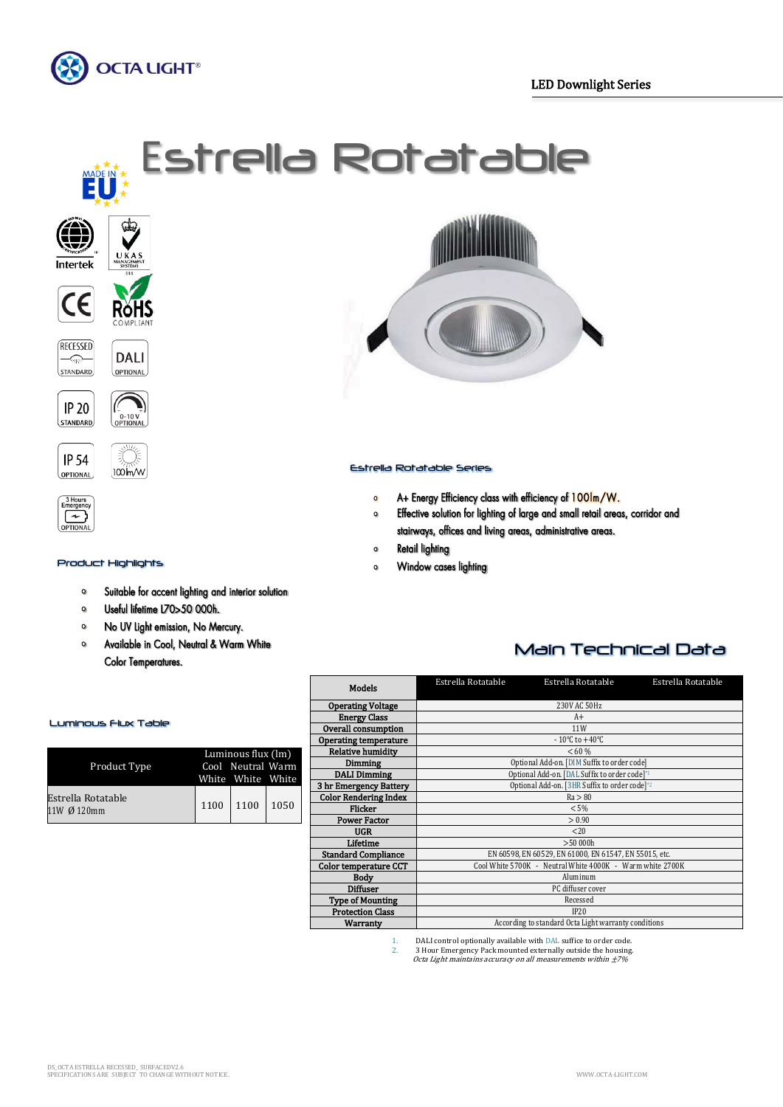

# **Estrella Rotatable**









#### Product Highlights

- $\bullet$ Suitable for accent lighting and interior solution
- Useful lifetime L70>50 000h.  $\bullet$
- No UV Light emission, No Mercury.  $\bullet$
- Available in Cool, Neutral & Warm White  $\circ$ **Color Temperatures.**



## Estrella Rotatable Series

- $\bullet$ A+ Energy Efficiency class with efficiency of 100lm/W.
- Effective solution for lighting of large and small retail areas, corridor and  $\bullet$ stairways, offices and living areas, administrative areas.
- Retail lighting  $\mathbf{o}$
- Window cases lighting  $\Omega$

# Main Technical Data

| <b>Models</b>                | Estrella Rotatable                                        | Estrella Rotatable                 | Estrella Rotatable |  |  |  |  |  |  |
|------------------------------|-----------------------------------------------------------|------------------------------------|--------------------|--|--|--|--|--|--|
| <b>Operating Voltage</b>     | 230V AC 50Hz                                              |                                    |                    |  |  |  |  |  |  |
| <b>Energy Class</b>          |                                                           | $A+$                               |                    |  |  |  |  |  |  |
| Overall consumption          |                                                           | 11 <sub>W</sub>                    |                    |  |  |  |  |  |  |
| <b>Operating temperature</b> |                                                           | $-10^{\circ}$ C to $+40^{\circ}$ C |                    |  |  |  |  |  |  |
| <b>Relative humidity</b>     | < 60 %                                                    |                                    |                    |  |  |  |  |  |  |
| Dimming                      | Optional Add-on. [DIM Suffix to order code]               |                                    |                    |  |  |  |  |  |  |
| <b>DALI Dimming</b>          | Optional Add-on. [DAL Suffix to order code]*1             |                                    |                    |  |  |  |  |  |  |
| 3 hr Emergency Battery       | Optional Add-on. [3HR Suffix to order code] <sup>*2</sup> |                                    |                    |  |  |  |  |  |  |
| <b>Color Rendering Index</b> | Ra > 80                                                   |                                    |                    |  |  |  |  |  |  |
| Flicker                      | $< 5\%$                                                   |                                    |                    |  |  |  |  |  |  |
| <b>Power Factor</b>          | > 0.90                                                    |                                    |                    |  |  |  |  |  |  |
| <b>UGR</b>                   | < 20                                                      |                                    |                    |  |  |  |  |  |  |
| Lifetime                     | >50000h                                                   |                                    |                    |  |  |  |  |  |  |
| <b>Standard Compliance</b>   | EN 60598. EN 60529, EN 61000, EN 61547, EN 55015, etc.    |                                    |                    |  |  |  |  |  |  |
| Color temperature CCT        | Cool White 5700K - Neutral White 4000K - Warm white 2700K |                                    |                    |  |  |  |  |  |  |
| <b>Body</b>                  | Aluminum                                                  |                                    |                    |  |  |  |  |  |  |
| <b>Diffuser</b>              | PC diffuser cover                                         |                                    |                    |  |  |  |  |  |  |
| <b>Type of Mounting</b>      | Recessed                                                  |                                    |                    |  |  |  |  |  |  |
| <b>Protection Class</b>      | IP20                                                      |                                    |                    |  |  |  |  |  |  |
| Warranty                     | According to standard Octa Light warranty conditions      |                                    |                    |  |  |  |  |  |  |
|                              |                                                           |                                    |                    |  |  |  |  |  |  |

1. DALI control optionally available with DAL suffice to order code.<br>2. B Hour Emergency Pack mounted externally outside the housing

2. 3 Hour Emergency Pack mounted externally outside the housing. Octa Light maintains accuracy on all measurements within ±7%

#### Luminous Flux Table

| Product Type                      |      | Luminous flux (lm)<br>Cool Neutral Warm |      |
|-----------------------------------|------|-----------------------------------------|------|
|                                   |      | White White White                       |      |
| Estrella Rotatable<br>11W Ø 120mm | 1100 | 1100                                    | 1050 |

 $\mathsf{I}$